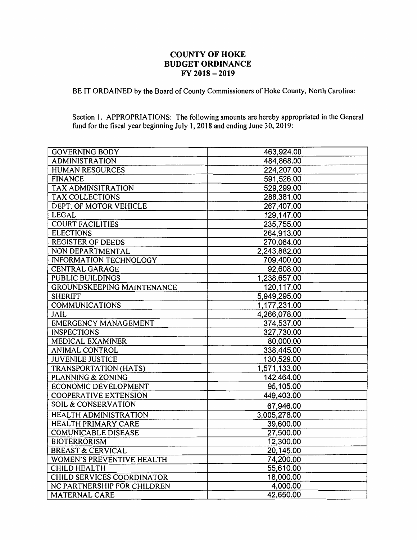## **COUNTY OF HOKE BUDGET ORDINANCE FY 2018** - **2019**

BE IT ORDAINED by the Board of County Commissioners of Hoke County, North Carolina:

Section I. APPROPRIATIONS: The following amounts are hereby appropriated in the General fund for the fiscal year beginning July I, 2018 and ending June 30, 2019:

| <b>GOVERNING BODY</b>          | 463,924.00   |
|--------------------------------|--------------|
| <b>ADMINISTRATION</b>          | 484,868.00   |
| <b>HUMAN RESOURCES</b>         | 224,207.00   |
| <b>FINANCE</b>                 | 591,526.00   |
| <b>TAX ADMINSITRATION</b>      | 529,299.00   |
| <b>TAX COLLECTIONS</b>         | 288,381.00   |
| DEPT. OF MOTOR VEHICLE         | 267,407.00   |
| <b>LEGAL</b>                   | 129,147.00   |
| <b>COURT FACILITIES</b>        | 235,755.00   |
| <b>ELECTIONS</b>               | 264,913.00   |
| <b>REGISTER OF DEEDS</b>       | 270,064.00   |
| NON DEPARTMENTAL               | 2,243,882.00 |
| <b>INFORMATION TECHNOLOGY</b>  | 709,400.00   |
| <b>CENTRAL GARAGE</b>          | 92,608.00    |
| <b>PUBLIC BUILDINGS</b>        | 1,238,657.00 |
| GROUNDSKEEPING MAINTENANCE     | 120,117.00   |
| <b>SHERIFF</b>                 | 5,949,295.00 |
| <b>COMMUNICATIONS</b>          | 1,177,231.00 |
| JAIL                           | 4,266,078.00 |
| <b>EMERGENCY MANAGEMENT</b>    | 374,537.00   |
| <b>INSPECTIONS</b>             | 327,730.00   |
| MEDICAL EXAMINER               | 80,000.00    |
| <b>ANIMAL CONTROL</b>          | 338,445.00   |
| <b>JUVENILE JUSTICE</b>        | 130,529.00   |
| <b>TRANSPORTATION (HATS)</b>   | 1,571,133.00 |
| <b>PLANNING &amp; ZONING</b>   | 142,464.00   |
| ECONOMIC DEVELOPMENT           | 95,105.00    |
| <b>COOPERATIVE EXTENSION</b>   | 449,403.00   |
| <b>SOIL &amp; CONSERVATION</b> | 67,946.00    |
| <b>HEALTH ADMINISTRATION</b>   | 3,005,278.00 |
| <b>HEALTH PRIMARY CARE</b>     | 39,600.00    |
| <b>COMUNICABLE DISEASE</b>     | 27,500.00    |
| <b>BIOTERRORISM</b>            | 12,300.00    |
| <b>BREAST &amp; CERVICAL</b>   | 20,145.00    |
| WOMEN'S PREVENTIVE HEALTH      | 74,200.00    |
| <b>CHILD HEALTH</b>            | 55,610.00    |
| CHILD SERVICES COORDINATOR     | 18,000.00    |
| NC PARTNERSHIP FOR CHILDREN    | 4,000.00     |
| <b>MATERNAL CARE</b>           | 42,650.00    |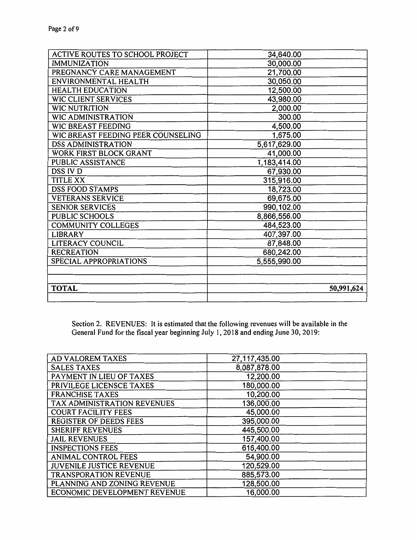| ACTIVE ROUTES TO SCHOOL PROJECT    | 34,640.00    |
|------------------------------------|--------------|
| <b>IMMUNIZATION</b>                | 30,000.00    |
| PREGNANCY CARE MANAGEMENT          | 21,700.00    |
| ENVIRONMENTAL HEALTH               | 30,050.00    |
| <b>HEALTH EDUCATION</b>            | 12,500.00    |
| WIC CLIENT SERVICES                | 43,980.00    |
| <b>WIC NUTRITION</b>               | 2,000.00     |
| <b>WIC ADMINISTRATION</b>          | 300.00       |
| WIC BREAST FEEDING                 | 4,500.00     |
| WIC BREAST FEEDING PEER COUNSELING | 1,675.00     |
| <b>DSS ADMINISTRATION</b>          | 5,617,629.00 |
| WORK FIRST BLOCK GRANT             | 41,000.00    |
| PUBLIC ASSISTANCE                  | 1,183,414.00 |
| DSS IV D                           | 67,930.00    |
| <b>TITLE XX</b>                    | 315,916.00   |
| <b>DSS FOOD STAMPS</b>             | 18,723.00    |
| <b>VETERANS SERVICE</b>            | 69,675.00    |
| <b>SENIOR SERVICES</b>             | 990,102.00   |
| <b>PUBLIC SCHOOLS</b>              | 8,866,556.00 |
| COMMUNITY COLLEGES                 | 484,523.00   |
| <b>LIBRARY</b>                     | 407,397.00   |
| <b>LITERACY COUNCIL</b>            | 87,848.00    |
| <b>RECREATION</b>                  | 680,242.00   |
| SPECIAL APPROPRIATIONS             | 5,555,990.00 |
|                                    |              |
|                                    |              |
| <b>TOTAL</b>                       | 50,991,624   |
|                                    |              |

Section 2. REVENUES: It is estimated that the following revenues will be available in the General Fund for the fiscal year beginning July 1, 2018 and ending June 30, 2019:

| <b>AD VALOREM TAXES</b>         | 27,117,435.00 |  |
|---------------------------------|---------------|--|
| <b>SALES TAXES</b>              | 8,087,878.00  |  |
| PAYMENT IN LIEU OF TAXES        | 12,200.00     |  |
| PRIVILEGE LICENSCE TAXES        | 180,000.00    |  |
| <b>FRANCHISE TAXES</b>          | 10,200.00     |  |
| TAX ADMINISTRATION REVENUES     | 136,000.00    |  |
| <b>COURT FACILITY FEES</b>      | 45,000.00     |  |
| <b>REGISTER OF DEEDS FEES</b>   | 395,000.00    |  |
| <b>SHERIFF REVENUES</b>         | 445,500.00    |  |
| <b>JAIL REVENUES</b>            | 157,400.00    |  |
| <b>INSPECTIONS FEES</b>         | 616,400.00    |  |
| <b>ANIMAL CONTROL FEES</b>      | 54,900.00     |  |
| <b>JUVENILE JUSTICE REVENUE</b> | 120,529.00    |  |
| <b>TRANSPORATION REVENUE</b>    | 885,573.00    |  |
| PLANNING AND ZONING REVENUE     | 128,500.00    |  |
| ECONOMIC DEVELOPMENT REVENUE    | 16,000.00     |  |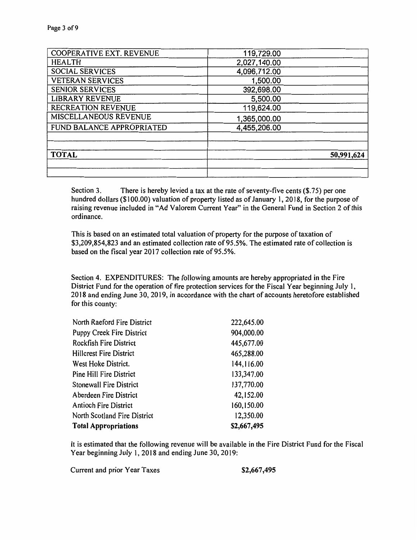| COOPERATIVE EXT. REVENUE  | 119,729.00   |
|---------------------------|--------------|
| <b>HEALTH</b>             | 2,027,140.00 |
| <b>SOCIAL SERVICES</b>    | 4,096,712.00 |
| <b>VETERAN SERVICES</b>   | 1,500.00     |
| <b>SENIOR SERVICES</b>    | 392,698.00   |
| <b>LIBRARY REVENUE</b>    | 5,500.00     |
| RECREATION REVENUE        | 119,624.00   |
| MISCELLANEOUS REVENUE     | 1,365,000.00 |
| FUND BALANCE APPROPRIATED | 4,455,206.00 |
|                           |              |
|                           |              |
| <b>TOTAL</b>              | 50,991,624   |
|                           |              |
|                           |              |

Section 3. There is hereby levied a tax at the rate of seventy-five cents (\$.75) per one hundred dollars (\$100.00) valuation of property listed as of January 1, 2018, for the purpose of raising revenue included in "Ad Valorem Current Year" in the General Fund in Section 2 of this ordinance.

This is based on an estimated total valuation of property for the purpose of taxation of \$3,209,854,823 and an estimated collection rate of 95.5%. The estimated rate of collection is based on the fiscal year 2017 collection rate of 95.5%.

Section 4. EXPENDITURES: The following amounts are hereby appropriated in the Fire District Fund for the operation of fire protection services for the Fiscal Year beginning July 1, 2018 and ending June 30, 2019, in accordance with the chart of accounts heretofore established for this county:

| North Raeford Fire District      | 222,645.00  |
|----------------------------------|-------------|
| <b>Puppy Creek Fire District</b> | 904,000.00  |
| <b>Rockfish Fire District</b>    | 445,677.00  |
| <b>Hillcrest Fire District</b>   | 465,288.00  |
| West Hoke District.              | 144,116.00  |
| Pine Hill Fire District          | 133,347.00  |
| <b>Stonewall Fire District</b>   | 137,770.00  |
| Aberdeen Fire District           | 42,152.00   |
| <b>Antioch Fire District</b>     | 160,150.00  |
| North Scotland Fire District     | 12,350.00   |
| <b>Total Appropriations</b>      | \$2,667,495 |

It is estimated that the following revenue will be available in the Fire District Fund for the Fiscal Year beginning July I, 2018 and ending June 30, 2019:

Current and prior Year Taxes **\$2,667,495**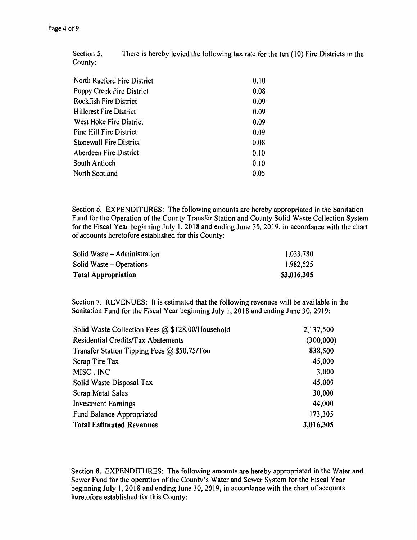Section 5. County: There is hereby levied the following tax rate for the ten ( 10) Fire Districts in the

| North Raeford Fire District<br>0.10      |  |
|------------------------------------------|--|
| <b>Puppy Creek Fire District</b><br>0.08 |  |
| <b>Rockfish Fire District</b><br>0.09    |  |
| <b>Hillcrest Fire District</b><br>0.09   |  |
| West Hoke Fire District<br>0.09          |  |
| Pine Hill Fire District<br>0.09          |  |
| <b>Stonewall Fire District</b><br>0.08   |  |
| Aberdeen Fire District<br>0.10           |  |
| South Antioch<br>0.10                    |  |
| North Scotland<br>0.05                   |  |

Section 6. EXPENDITURES: The following amounts are hereby appropriated in the Sanitation Fund for the Operation of the County Transfer Station and County Solid Waste Collection System for the Fiscal Year beginning July 1, 2018 and ending June 30, 2019, in accordance with the chart of accounts heretofore established for this County:

| Solid Waste – Administration | 1,033,780   |
|------------------------------|-------------|
| Solid Waste – Operations     | 1,982,525   |
| <b>Total Appropriation</b>   | \$3,016,305 |

Section 7. REVENUES: It is estimated that the following revenues will be available in the Sanitation Fund for the Fiscal Year beginning July 1, 2018 and ending June 30, 2019:

| Solid Waste Collection Fees @ \$128.00/Household | 2,137,500 |
|--------------------------------------------------|-----------|
| Residential Credits/Tax Abatements               | (300,000) |
| Transfer Station Tipping Fees $@$ \$50.75/Ton    | 838,500   |
| Scrap Tire Tax                                   | 45,000    |
| MISC. INC                                        | 3,000     |
| Solid Waste Disposal Tax                         | 45,000    |
| <b>Scrap Metal Sales</b>                         | 30,000    |
| <b>Investment Earnings</b>                       | 44,000    |
| Fund Balance Appropriated                        | 173,305   |
| <b>Total Estimated Revenues</b>                  | 3,016,305 |

Section 8. EXPENDITURES: The following amounts are hereby appropriated in the Water and Sewer Fund for the operation of the County's Water and Sewer System for the Fiscal Year beginning July 1, 2018 and ending June 30, 2019, in accordance with the chart of accounts heretofore established for this County: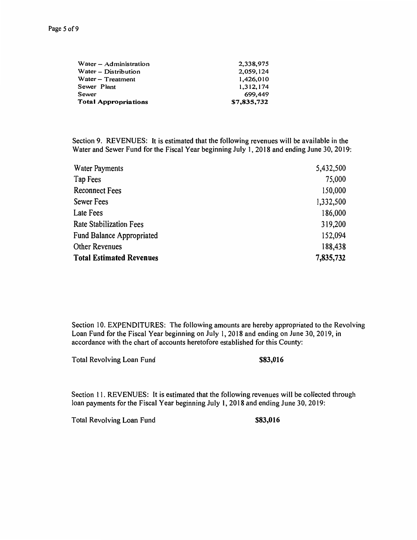| Water – Administration | 2,338,975   |
|------------------------|-------------|
| Water – Distribution   | 2,059,124   |
| Water – Treatment      | 1,426,010   |
| Sewer Plant            | 1.312.174   |
| Sewer                  | 699,449     |
| Total Appropriations   | \$7,835,732 |

Section 9. REVENUES: It is estimated that the following revenues will be available in the Water and Sewer Fund for the Fiscal Year beginning July 1, 2018 and ending June 30, 2019:

| <b>Water Payments</b>            | 5,432,500 |
|----------------------------------|-----------|
| Tap Fees                         | 75,000    |
| <b>Reconnect Fees</b>            | 150,000   |
| <b>Sewer Fees</b>                | 1,332,500 |
| Late Fees                        | 186,000   |
| <b>Rate Stabilization Fees</b>   | 319,200   |
| <b>Fund Balance Appropriated</b> | 152,094   |
| <b>Other Revenues</b>            | 188,438   |
| <b>Total Estimated Revenues</b>  | 7,835,732 |

Section 10. EXPENDITURES: The following amounts are hereby appropriated to the Revolving Loan Fund for the Fiscal Year beginning on July 1, 2018 and ending on June 30, 2019, in accordance with the chart of accounts heretofore established for this County:

Total Revolving Loan Fund **\$83,016** 

Section 11. REVENUES: It is estimated that the following revenues will be collected through loan payments for the Fiscal Year beginning July I, 2018 and ending June 30, 2019:

Total Revolving Loan Fund **\$83,016**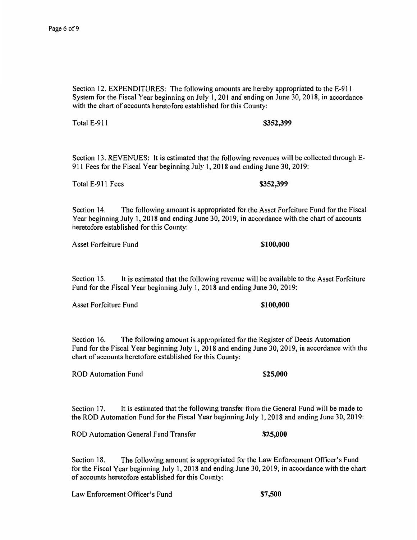Section 12. EXPENDITURES: The following amounts are hereby appropriated to the E-91 l System for the Fiscal Year beginning on July 1,201 and ending on June 30, 2018, in accordance with the chart of accounts heretofore established for this County:

Total E-911 **\$352,399** 

Section 13. REVENUES: It is estimated that the following revenues will be collected through E-911 Fees for the Fiscal Year beginning July 1, 2018 and ending June 30, 2019:

Total E-911 Fees **\$352,399** 

Section 14. The following amount is appropriated for the Asset Forfeiture Fund for the Fiscal Year beginning July 1, 2018 and ending June 30, 2019, in accordance with the chart of accounts heretofore established for this County:

Asset Forfeiture Fund **\$100,000 \$100,000** 

Section 15. It is estimated that the following revenue will be available to the Asset Forfeiture Fund for the Fiscal Year beginning July 1, 2018 and ending June 30, 2019:

Asset Forfeiture Fund **\$100,000 \$100,000** 

Section 16. The following amount is appropriated for the Register of Deeds Automation Fund for the Fiscal Year beginning July 1, 2018 and ending June 30, 2019, in accordance with the chart of accounts heretofore established for this County:

ROD Automation Fund **\$25,000** 

Section 17. It is estimated that the following transfer from the General Fund will be made to the ROD Automation Fund for the Fiscal Year beginning July 1, 2018 and ending June 30, 2019:

ROD Automation General Fund Transfer **\$25,000** 

Section 18. The following amount is appropriated for the Law Enforcement Officer's Fund for the Fiscal Year beginning July 1, 2018 and ending June 30, 2019, in accordance with the chart of accounts heretofore established for this County:

Law Enforcement Officer's Fund **\$7,500**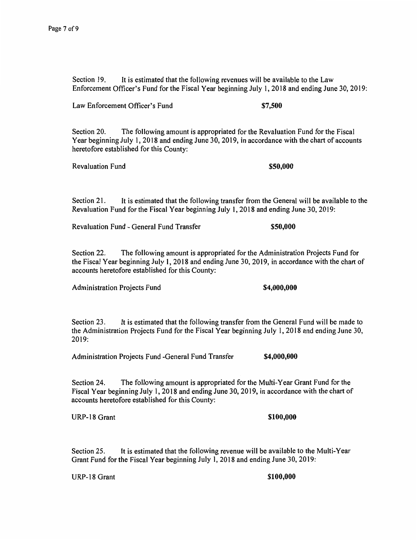Section 19. It is estimated that the following revenues will be available to the Law Enforcement Officer's Fund for the Fiscal Year beginning July 1, 2018 and ending June 30, 2019:

Law Enforcement Officer's Fund **\$7,500** 

Section 20. The following amount is appropriated for the Revaluation Fund for the Fiscal Year beginning July 1, 2018 and ending June 30, 2019, in accordance with the chart of accounts heretofore established for this County:

Revaluation Fund **\$50,000 \$50,000** 

Section 21. It is estimated that the following transfer from the General will be available to the Revaluation Fund for the Fiscal Year beginning July 1, 2018 and ending June 30, 2019:

Revaluation Fund - General Fund Transfer **\$50,000** 

Section 22. The following amount is appropriated for the Administration Projects Fund for the Fiscal Year beginning July 1, 2018 and ending June 30, 2019, in accordance with the chart of accounts heretofore established for this County:

Administration Projects Fund **\$4,000,000** 

Section 23. It is estimated that the following transfer from the General Fund will be made to the Administration Projects Fund for the Fiscal Year beginning July I, 2018 and ending June 30, 2019:

Administration Projects Fund -General Fund Transfer **\$4,000,000** 

Section 24. The following amount is appropriated for the Multi-Year Grant Fund for the Fiscal Year beginning July 1, 2018 and ending June 30, 2019, in accordance with the chart of accounts heretofore established for this County:

URP-18 Grant **\$100,000 \$100,000** 

Section 25. It is estimated that the following revenue will be available to the Multi-Year Grant Fund for the Fiscal Year beginning July 1, 2018 and ending June 30, 2019:

URP-18 Grant **\$100,000 \$100,000**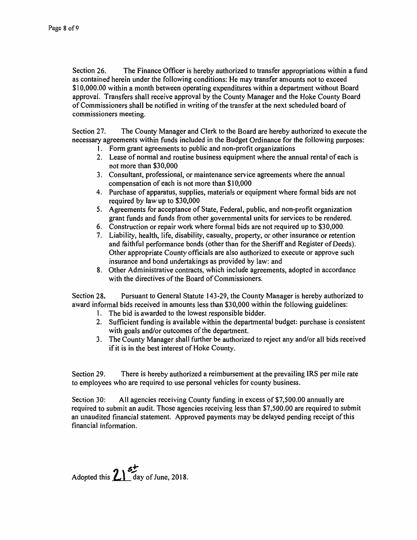Section 26. The Finance Officer is hereby authorized to transfer appropriations within a fund as contained herein under the following conditions: He may transfer amounts not to exceed \$10,000.00 within a month between operating expenditures within a department without Board approval. Transfers shall receive approval by the County Manager and the Hoke County Board of Commissioners shall be notified in writing of the transfer at the next scheduled board of commissioners meeting.

Section 27. The County Manager and Clerk to the Board are hereby authorized to execute the necessary agreements within funds included in the Budget Ordinance for the following purposes:

- 1. Form grant agreements to public and non-profit organizations
- 2. Lease of normal and routine business equipment where the annual rental of each is not more than \$30,000
- 3. Consultant, professional, or maintenance service agreements where the annual compensation of each is not more than \$10,000
- 4. Purchase of apparatus, supplies, materials or equipment where formal bids are not required by law up to \$30,000
- 5. Agreements for acceptance of State, Federal, public, and non-profit organization grant funds and funds from other governmental units for services to be rendered.
- 6. Construction or repair work where formal bids are not required up to \$30,000.
- 7. Liability, health, life, disability, casualty, property, or other insurance or retention and faithful performance bonds (other than for the Sheriff and Register of Deeds). Other appropriate County officials are also authorized to execute or approve such insurance and bond undertakings as provided by law: and
- 8. Other Administrative contracts, which include agreements, adopted in accordance with the directives of the Board of Commissioners.

Section 28. Pursuant to General Statute 143-29, the County Manager is hereby authorized to award informal bids received in amounts less than \$30,000 within the following guidelines:

- 1. The bid is awarded to the lowest responsible bidder.
- 2. Sufficient funding is available within the departmental budget: purchase is consistent with goals and/or outcomes of the department.
- 3. The County Manager shall further be authorized to reject any and/or all bids received if it is in the best interest of Hoke County.

Section 29. There is hereby authorized a reimbursement at the prevailing IRS per mile rate to employees who are required to use personal vehicles for county business.

Section 30: All agencies receiving County funding in excess of \$7,500.00 annually are required to submit an audit. Those agencies receiving less than \$7,500.00 are required to submit an unaudited financial statement. Approved payments may be delayed pending receipt of this financial information.

Adopted this  $2^{\frac{5}{2}}$  day of June, 2018.